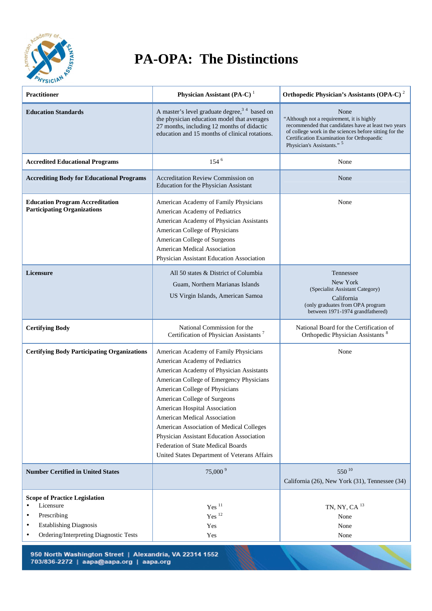

## **PA-OPA: The Distinctions**

| <b>Practitioner</b>                                                                                                                                                                             | Physician Assistant (PA-C) $1$                                                                                                                                                                                                                                                                                                                                                                                                                                                           | Orthopedic Physician's Assistants (OPA-C) <sup>2</sup>                                                                                                                                                                                        |
|-------------------------------------------------------------------------------------------------------------------------------------------------------------------------------------------------|------------------------------------------------------------------------------------------------------------------------------------------------------------------------------------------------------------------------------------------------------------------------------------------------------------------------------------------------------------------------------------------------------------------------------------------------------------------------------------------|-----------------------------------------------------------------------------------------------------------------------------------------------------------------------------------------------------------------------------------------------|
|                                                                                                                                                                                                 |                                                                                                                                                                                                                                                                                                                                                                                                                                                                                          |                                                                                                                                                                                                                                               |
| <b>Education Standards</b>                                                                                                                                                                      | A master's level graduate degree, <sup>34</sup> based on<br>the physician education model that averages<br>27 months, including 12 months of didactic<br>education and 15 months of clinical rotations.                                                                                                                                                                                                                                                                                  | None<br>"Although not a requirement, it is highly<br>recommended that candidates have at least two years<br>of college work in the sciences before sitting for the<br>Certification Examination for Orthopaedic<br>Physician's Assistants." 5 |
| <b>Accredited Educational Programs</b>                                                                                                                                                          | 154 <sup>6</sup>                                                                                                                                                                                                                                                                                                                                                                                                                                                                         | None                                                                                                                                                                                                                                          |
| <b>Accrediting Body for Educational Programs</b>                                                                                                                                                | <b>Accreditation Review Commission on</b><br>Education for the Physician Assistant                                                                                                                                                                                                                                                                                                                                                                                                       | None                                                                                                                                                                                                                                          |
| <b>Education Program Accreditation</b><br><b>Participating Organizations</b>                                                                                                                    | American Academy of Family Physicians<br>American Academy of Pediatrics<br>American Academy of Physician Assistants<br>American College of Physicians<br>American College of Surgeons<br><b>American Medical Association</b><br>Physician Assistant Education Association                                                                                                                                                                                                                | None                                                                                                                                                                                                                                          |
| <b>Licensure</b>                                                                                                                                                                                | All 50 states & District of Columbia<br>Guam, Northern Marianas Islands<br>US Virgin Islands, American Samoa                                                                                                                                                                                                                                                                                                                                                                             | Tennessee<br>New York<br>(Specialist Assistant Category)<br>California<br>(only graduates from OPA program<br>between 1971-1974 grandfathered)                                                                                                |
| <b>Certifying Body</b>                                                                                                                                                                          | National Commission for the<br>Certification of Physician Assistants <sup>7</sup>                                                                                                                                                                                                                                                                                                                                                                                                        | National Board for the Certification of<br>Orthopedic Physician Assistants <sup>8</sup>                                                                                                                                                       |
| <b>Certifying Body Participating Organizations</b>                                                                                                                                              | American Academy of Family Physicians<br>American Academy of Pediatrics<br>American Academy of Physician Assistants<br>American College of Emergency Physicians<br>American College of Physicians<br>American College of Surgeons<br><b>American Hospital Association</b><br>American Medical Association<br>American Association of Medical Colleges<br>Physician Assistant Education Association<br>Federation of State Medical Boards<br>United States Department of Veterans Affairs | None                                                                                                                                                                                                                                          |
| <b>Number Certified in United States</b>                                                                                                                                                        | 75,000 9                                                                                                                                                                                                                                                                                                                                                                                                                                                                                 | 550 10<br>California (26), New York (31), Tennessee (34)                                                                                                                                                                                      |
| <b>Scope of Practice Legislation</b><br>Licensure<br>$\bullet$<br>Prescribing<br>$\bullet$<br><b>Establishing Diagnosis</b><br>$\bullet$<br>Ordering/Interpreting Diagnostic Tests<br>$\bullet$ | $Yes$ <sup>11</sup><br>Yes <sup>12</sup><br>Yes<br>Yes                                                                                                                                                                                                                                                                                                                                                                                                                                   | TN, NY, CA $^{13}$<br>None<br>None<br>None                                                                                                                                                                                                    |

950 North Washington Street | Alexandria, VA 22314 1552<br>703/836-2272 | aapa@aapa.org | aapa.org